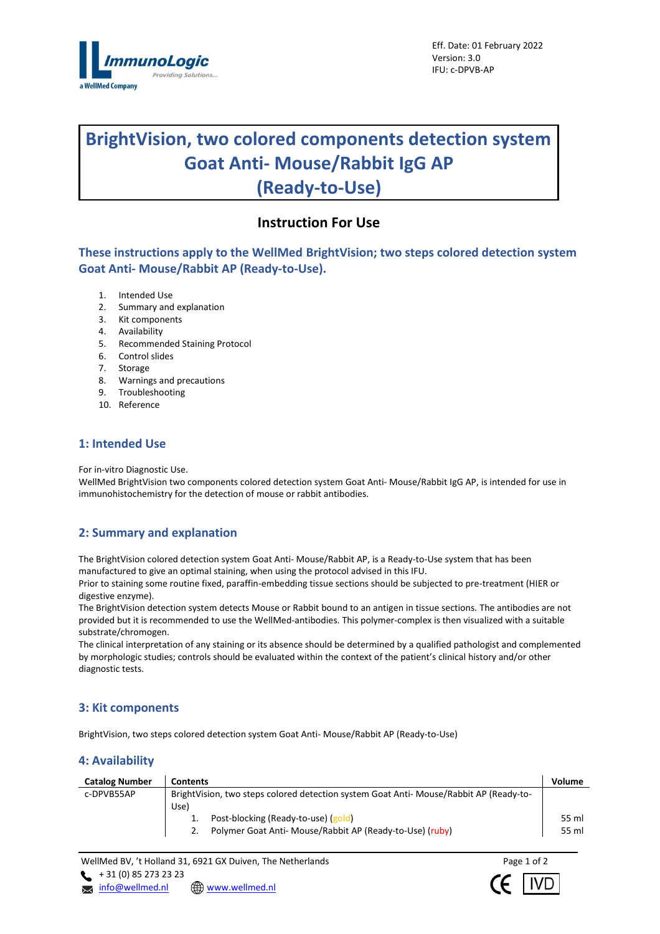

# **BrightVision, two colored components detection system Goat Anti- Mouse/Rabbit IgG AP (Ready-to-Use)**

## **Instruction For Use**

**These instructions apply to the WellMed BrightVision; two steps colored detection system Goat Anti- Mouse/Rabbit AP (Ready-to-Use).**

- 1. Intended Use
- 2. Summary and explanation
- 3. Kit components
- 4. Availability
- 5. Recommended Staining Protocol
- 6. Control slides
- 7. Storage
- 8. Warnings and precautions
- 9. Troubleshooting
- 10. Reference

## **1: Intended Use**

For in-vitro Diagnostic Use.

WellMed BrightVision two components colored detection system Goat Anti- Mouse/Rabbit IgG AP, is intended for use in immunohistochemistry for the detection of mouse or rabbit antibodies.

## **2: Summary and explanation**

The BrightVision colored detection system Goat Anti- Mouse/Rabbit AP, is a Ready-to-Use system that has been manufactured to give an optimal staining, when using the protocol advised in this IFU.

Prior to staining some routine fixed, paraffin-embedding tissue sections should be subjected to pre-treatment (HIER or digestive enzyme).

The BrightVision detection system detects Mouse or Rabbit bound to an antigen in tissue sections. The antibodies are not provided but it is recommended to use the WellMed-antibodies. This polymer-complex is then visualized with a suitable substrate/chromogen.

The clinical interpretation of any staining or its absence should be determined by a qualified pathologist and complemented by morphologic studies; controls should be evaluated within the context of the patient's clinical history and/or other diagnostic tests.

## **3: Kit components**

BrightVision, two steps colored detection system Goat Anti- Mouse/Rabbit AP (Ready-to-Use)

## **4: Availability**

| <b>Catalog Number</b> | <b>Contents</b>                                                                        | Volume |  |
|-----------------------|----------------------------------------------------------------------------------------|--------|--|
| c-DPVB55AP            | BrightVision, two steps colored detection system Goat Anti- Mouse/Rabbit AP (Ready-to- |        |  |
|                       | Use)                                                                                   |        |  |
|                       | Post-blocking (Ready-to-use) (gold)                                                    | 55 ml  |  |
|                       | Polymer Goat Anti- Mouse/Rabbit AP (Ready-to-Use) (ruby)                               | 55 ml  |  |